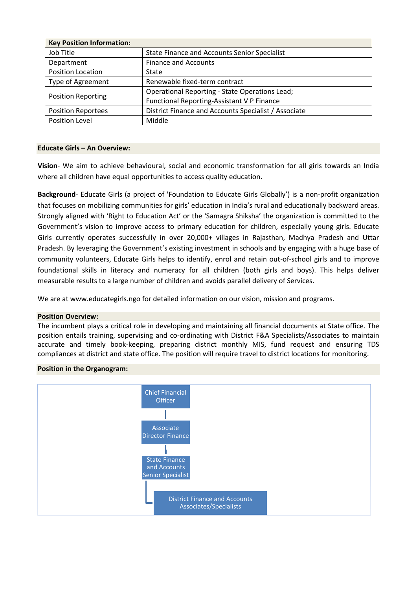| <b>Key Position Information:</b> |                                                       |  |  |
|----------------------------------|-------------------------------------------------------|--|--|
| Job Title                        | State Finance and Accounts Senior Specialist          |  |  |
| Department                       | <b>Finance and Accounts</b>                           |  |  |
| Position Location                | State                                                 |  |  |
| <b>Type of Agreement</b>         | Renewable fixed-term contract                         |  |  |
| <b>Position Reporting</b>        | <b>Operational Reporting - State Operations Lead;</b> |  |  |
|                                  | Functional Reporting-Assistant V P Finance            |  |  |
| <b>Position Reportees</b>        | District Finance and Accounts Specialist / Associate  |  |  |
| Position Level                   | Middle                                                |  |  |

### **Educate Girls – An Overview:**

**Vision**- We aim to achieve behavioural, social and economic transformation for all girls towards an India where all children have equal opportunities to access quality education.

**Background**- Educate Girls (a project of 'Foundation to Educate Girls Globally') is a non-profit organization that focuses on mobilizing communities for girls' education in India's rural and educationally backward areas. Strongly aligned with 'Right to Education Act' or the 'Samagra Shiksha' the organization is committed to the Government's vision to improve access to primary education for children, especially young girls. Educate Girls currently operates successfully in over 20,000+ villages in Rajasthan, Madhya Pradesh and Uttar Pradesh. By leveraging the Government's existing investment in schools and by engaging with a huge base of community volunteers, Educate Girls helps to identify, enrol and retain out-of-school girls and to improve foundational skills in literacy and numeracy for all children (both girls and boys). This helps deliver measurable results to a large number of children and avoids parallel delivery of Services.

We are at www.educategirls.ngo for detailed information on our vision, mission and programs.

### **Position Overview:**

The incumbent plays a critical role in developing and maintaining all financial documents at State office. The position entails training, supervising and co-ordinating with District F&A Specialists/Associates to maintain accurate and timely book-keeping, preparing district monthly MIS, fund request and ensuring TDS compliances at district and state office. The position will require travel to district locations for monitoring.

### **Position in the Organogram:**

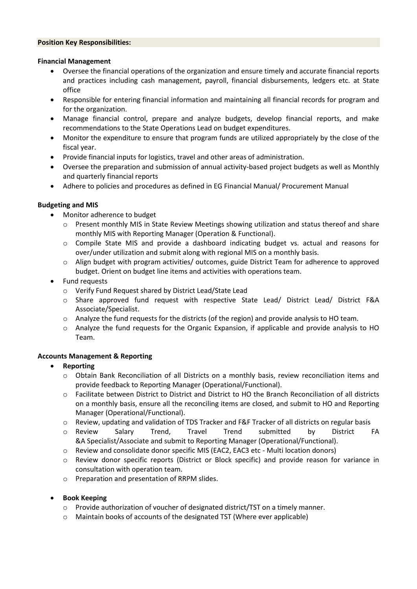#### **Position Key Responsibilities:**

#### **Financial Management**

- Oversee the financial operations of the organization and ensure timely and accurate financial reports and practices including cash management, payroll, financial disbursements, ledgers etc. at State office
- Responsible for entering financial information and maintaining all financial records for program and for the organization.
- Manage financial control, prepare and analyze budgets, develop financial reports, and make recommendations to the State Operations Lead on budget expenditures.
- Monitor the expenditure to ensure that program funds are utilized appropriately by the close of the fiscal year.
- Provide financial inputs for logistics, travel and other areas of administration.
- Oversee the preparation and submission of annual activity-based project budgets as well as Monthly and quarterly financial reports
- Adhere to policies and procedures as defined in EG Financial Manual/ Procurement Manual

### **Budgeting and MIS**

- Monitor adherence to budget
	- o Present monthly MIS in State Review Meetings showing utilization and status thereof and share monthly MIS with Reporting Manager (Operation & Functional).
	- $\circ$  Compile State MIS and provide a dashboard indicating budget vs. actual and reasons for over/under utilization and submit along with regional MIS on a monthly basis.
	- o Align budget with program activities/ outcomes, guide District Team for adherence to approved budget. Orient on budget line items and activities with operations team.

## • Fund requests

- o Verify Fund Request shared by District Lead/State Lead
- o Share approved fund request with respective State Lead/ District Lead/ District F&A Associate/Specialist.
- $\circ$  Analyze the fund requests for the districts (of the region) and provide analysis to HO team.
- o Analyze the fund requests for the Organic Expansion, if applicable and provide analysis to HO Team.

### **Accounts Management & Reporting**

## • **Reporting**

- o Obtain Bank Reconciliation of all Districts on a monthly basis, review reconciliation items and provide feedback to Reporting Manager (Operational/Functional).
- o Facilitate between District to District and District to HO the Branch Reconciliation of all districts on a monthly basis, ensure all the reconciling items are closed, and submit to HO and Reporting Manager (Operational/Functional).
- o Review, updating and validation of TDS Tracker and F&F Tracker of all districts on regular basis
- o Review Salary Trend, Travel Trend submitted by District FA &A Specialist/Associate and submit to Reporting Manager (Operational/Functional).
- o Review and consolidate donor specific MIS (EAC2, EAC3 etc Multi location donors)
- o Review donor specific reports (District or Block specific) and provide reason for variance in consultation with operation team.
- o Preparation and presentation of RRPM slides.

## • **Book Keeping**

- o Provide authorization of voucher of designated district/TST on a timely manner.
- o Maintain books of accounts of the designated TST (Where ever applicable)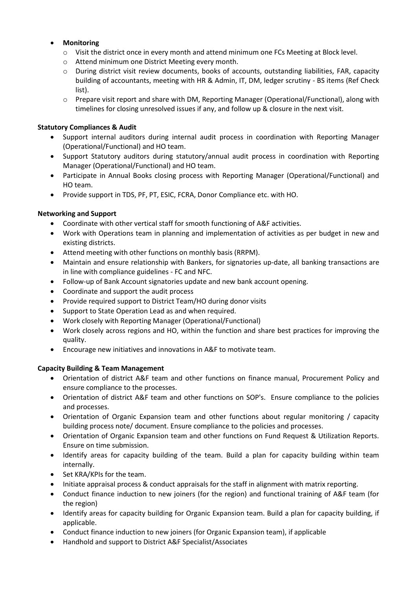# • **Monitoring**

- o Visit the district once in every month and attend minimum one FCs Meeting at Block level.
- o Attend minimum one District Meeting every month.
- o During district visit review documents, books of accounts, outstanding liabilities, FAR, capacity building of accountants, meeting with HR & Admin, IT, DM, ledger scrutiny - BS items (Ref Check list).
- o Prepare visit report and share with DM, Reporting Manager (Operational/Functional), along with timelines for closing unresolved issues if any, and follow up & closure in the next visit.

# **Statutory Compliances & Audit**

- Support internal auditors during internal audit process in coordination with Reporting Manager (Operational/Functional) and HO team.
- Support Statutory auditors during statutory/annual audit process in coordination with Reporting Manager (Operational/Functional) and HO team.
- Participate in Annual Books closing process with Reporting Manager (Operational/Functional) and HO team.
- Provide support in TDS, PF, PT, ESIC, FCRA, Donor Compliance etc. with HO.

# **Networking and Support**

- Coordinate with other vertical staff for smooth functioning of A&F activities.
- Work with Operations team in planning and implementation of activities as per budget in new and existing districts.
- Attend meeting with other functions on monthly basis (RRPM).
- Maintain and ensure relationship with Bankers, for signatories up-date, all banking transactions are in line with compliance guidelines - FC and NFC.
- Follow-up of Bank Account signatories update and new bank account opening.
- Coordinate and support the audit process
- Provide required support to District Team/HO during donor visits
- Support to State Operation Lead as and when required.
- Work closely with Reporting Manager (Operational/Functional)
- Work closely across regions and HO, within the function and share best practices for improving the quality.
- Encourage new initiatives and innovations in A&F to motivate team.

## **Capacity Building & Team Management**

- Orientation of district A&F team and other functions on finance manual, Procurement Policy and ensure compliance to the processes.
- Orientation of district A&F team and other functions on SOP's. Ensure compliance to the policies and processes.
- Orientation of Organic Expansion team and other functions about regular monitoring / capacity building process note/ document. Ensure compliance to the policies and processes.
- Orientation of Organic Expansion team and other functions on Fund Request & Utilization Reports. Ensure on time submission.
- Identify areas for capacity building of the team. Build a plan for capacity building within team internally.
- Set KRA/KPIs for the team.
- Initiate appraisal process & conduct appraisals for the staff in alignment with matrix reporting.
- Conduct finance induction to new joiners (for the region) and functional training of A&F team (for the region)
- Identify areas for capacity building for Organic Expansion team. Build a plan for capacity building, if applicable.
- Conduct finance induction to new joiners (for Organic Expansion team), if applicable
- Handhold and support to District A&F Specialist/Associates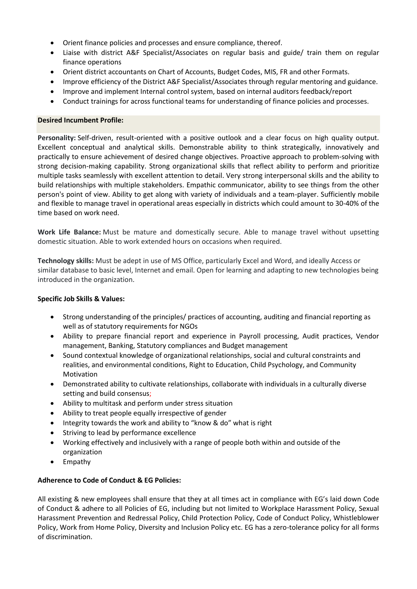- Orient finance policies and processes and ensure compliance, thereof.
- Liaise with district A&F Specialist/Associates on regular basis and guide/ train them on regular finance operations
- Orient district accountants on Chart of Accounts, Budget Codes, MIS, FR and other Formats.
- Improve efficiency of the District A&F Specialist/Associates through regular mentoring and guidance.
- Improve and implement Internal control system, based on internal auditors feedback/report
- Conduct trainings for across functional teams for understanding of finance policies and processes.

### **Desired Incumbent Profile:**

**Personality:** Self-driven, result-oriented with a positive outlook and a clear focus on high quality output. Excellent conceptual and analytical skills. Demonstrable ability to think strategically, innovatively and practically to ensure achievement of desired change objectives. Proactive approach to problem-solving with strong decision-making capability. Strong organizational skills that reflect ability to perform and prioritize multiple tasks seamlessly with excellent attention to detail. Very strong interpersonal skills and the ability to build relationships with multiple stakeholders. Empathic communicator, ability to see things from the other person's point of view. Ability to get along with variety of individuals and a team-player. Sufficiently mobile and flexible to manage travel in operational areas especially in districts which could amount to 30-40% of the time based on work need.

**Work Life Balance:** Must be mature and domestically secure. Able to manage travel without upsetting domestic situation. Able to work extended hours on occasions when required.

**Technology skills:** Must be adept in use of MS Office, particularly Excel and Word, and ideally Access or similar database to basic level, Internet and email. Open for learning and adapting to new technologies being introduced in the organization.

### **Specific Job Skills & Values:**

- Strong understanding of the principles/ practices of accounting, auditing and financial reporting as well as of statutory requirements for NGOs
- Ability to prepare financial report and experience in Payroll processing, Audit practices, Vendor management, Banking, Statutory compliances and Budget management
- Sound contextual knowledge of organizational relationships, social and cultural constraints and realities, and environmental conditions, Right to Education, Child Psychology, and Community Motivation
- Demonstrated ability to cultivate relationships, collaborate with individuals in a culturally diverse setting and build consensus;
- Ability to multitask and perform under stress situation
- Ability to treat people equally irrespective of gender
- Integrity towards the work and ability to "know & do" what is right
- Striving to lead by performance excellence
- Working effectively and inclusively with a range of people both within and outside of the organization
- Empathy

## **Adherence to Code of Conduct & EG Policies:**

All existing & new employees shall ensure that they at all times act in compliance with EG's laid down Code of Conduct & adhere to all Policies of EG, including but not limited to Workplace Harassment Policy, Sexual Harassment Prevention and Redressal Policy, Child Protection Policy, Code of Conduct Policy, Whistleblower Policy, Work from Home Policy, Diversity and Inclusion Policy etc. EG has a zero-tolerance policy for all forms of discrimination.